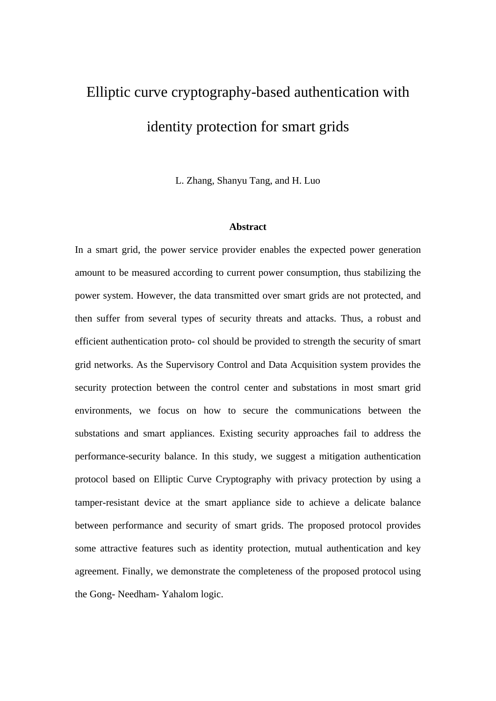# Elliptic curve cryptography-based authentication with identity protection for smart grids

L. Zhang, Shanyu Tang, and H. Luo

#### **Abstract**

In a smart grid, the power service provider enables the expected power generation amount to be measured according to current power consumption, thus stabilizing the power system. However, the data transmitted over smart grids are not protected, and then suffer from several types of security threats and attacks. Thus, a robust and efficient authentication proto- col should be provided to strength the security of smart grid networks. As the Supervisory Control and Data Acquisition system provides the security protection between the control center and substations in most smart grid environments, we focus on how to secure the communications between the substations and smart appliances. Existing security approaches fail to address the performance-security balance. In this study, we suggest a mitigation authentication protocol based on Elliptic Curve Cryptography with privacy protection by using a tamper-resistant device at the smart appliance side to achieve a delicate balance between performance and security of smart grids. The proposed protocol provides some attractive features such as identity protection, mutual authentication and key agreement. Finally, we demonstrate the completeness of the proposed protocol using the Gong- Needham- Yahalom logic.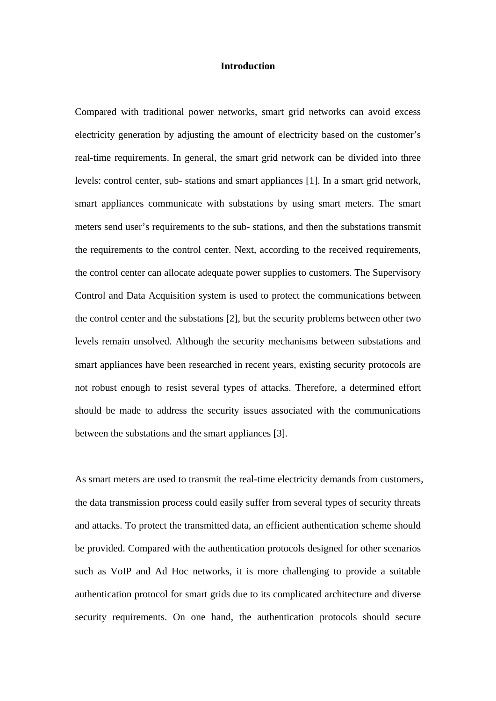# **Introduction**

Compared with traditional power networks, smart grid networks can avoid excess electricity generation by adjusting the amount of electricity based on the customer's real-time requirements. In general, the smart grid network can be divided into three levels: control center, sub- stations and smart appliances [1]. In a smart grid network, smart appliances communicate with substations by using smart meters. The smart meters send user's requirements to the sub- stations, and then the substations transmit the requirements to the control center. Next, according to the received requirements, the control center can allocate adequate power supplies to customers. The Supervisory Control and Data Acquisition system is used to protect the communications between the control center and the substations [2], but the security problems between other two levels remain unsolved. Although the security mechanisms between substations and smart appliances have been researched in recent years, existing security protocols are not robust enough to resist several types of attacks. Therefore, a determined effort should be made to address the security issues associated with the communications between the substations and the smart appliances [3].

As smart meters are used to transmit the real-time electricity demands from customers, the data transmission process could easily suffer from several types of security threats and attacks. To protect the transmitted data, an efficient authentication scheme should be provided. Compared with the authentication protocols designed for other scenarios such as VoIP and Ad Hoc networks, it is more challenging to provide a suitable authentication protocol for smart grids due to its complicated architecture and diverse security requirements. On one hand, the authentication protocols should secure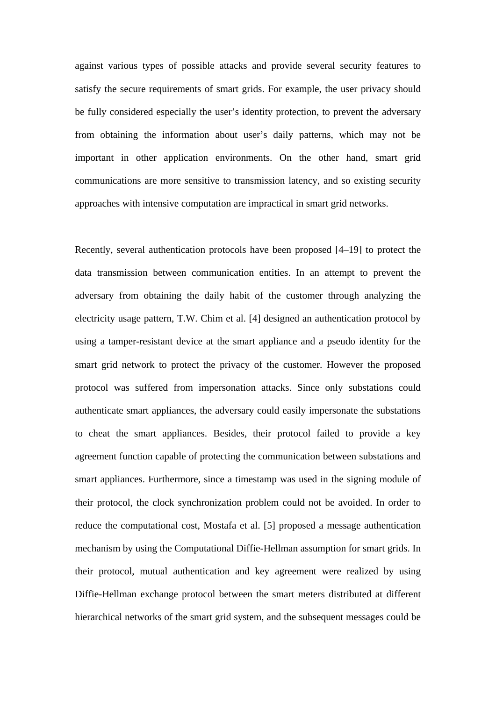against various types of possible attacks and provide several security features to satisfy the secure requirements of smart grids. For example, the user privacy should be fully considered especially the user's identity protection, to prevent the adversary from obtaining the information about user's daily patterns, which may not be important in other application environments. On the other hand, smart grid communications are more sensitive to transmission latency, and so existing security approaches with intensive computation are impractical in smart grid networks.

Recently, several authentication protocols have been proposed [4–19] to protect the data transmission between communication entities. In an attempt to prevent the adversary from obtaining the daily habit of the customer through analyzing the electricity usage pattern, T.W. Chim et al. [4] designed an authentication protocol by using a tamper-resistant device at the smart appliance and a pseudo identity for the smart grid network to protect the privacy of the customer. However the proposed protocol was suffered from impersonation attacks. Since only substations could authenticate smart appliances, the adversary could easily impersonate the substations to cheat the smart appliances. Besides, their protocol failed to provide a key agreement function capable of protecting the communication between substations and smart appliances. Furthermore, since a timestamp was used in the signing module of their protocol, the clock synchronization problem could not be avoided. In order to reduce the computational cost, Mostafa et al. [5] proposed a message authentication mechanism by using the Computational Diffie-Hellman assumption for smart grids. In their protocol, mutual authentication and key agreement were realized by using Diffie-Hellman exchange protocol between the smart meters distributed at different hierarchical networks of the smart grid system, and the subsequent messages could be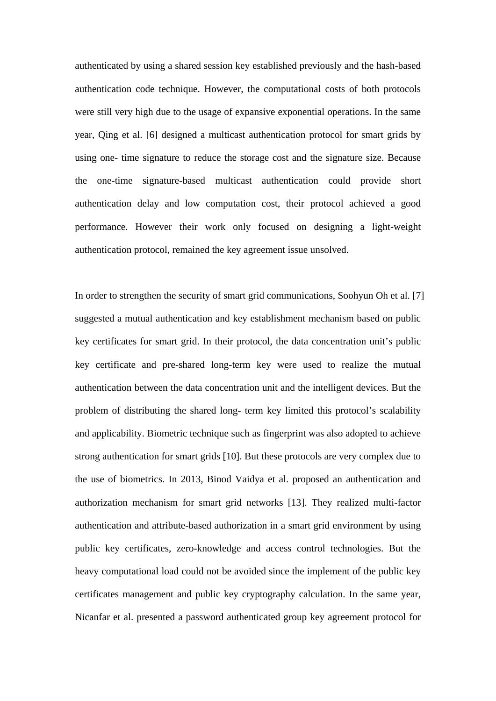authenticated by using a shared session key established previously and the hash-based authentication code technique. However, the computational costs of both protocols were still very high due to the usage of expansive exponential operations. In the same year, Qing et al. [6] designed a multicast authentication protocol for smart grids by using one- time signature to reduce the storage cost and the signature size. Because the one-time signature-based multicast authentication could provide short authentication delay and low computation cost, their protocol achieved a good performance. However their work only focused on designing a light-weight authentication protocol, remained the key agreement issue unsolved.

In order to strengthen the security of smart grid communications, Soohyun Oh et al. [7] suggested a mutual authentication and key establishment mechanism based on public key certificates for smart grid. In their protocol, the data concentration unit's public key certificate and pre-shared long-term key were used to realize the mutual authentication between the data concentration unit and the intelligent devices. But the problem of distributing the shared long- term key limited this protocol's scalability and applicability. Biometric technique such as fingerprint was also adopted to achieve strong authentication for smart grids [10]. But these protocols are very complex due to the use of biometrics. In 2013, Binod Vaidya et al. proposed an authentication and authorization mechanism for smart grid networks [13]. They realized multi-factor authentication and attribute-based authorization in a smart grid environment by using public key certificates, zero-knowledge and access control technologies. But the heavy computational load could not be avoided since the implement of the public key certificates management and public key cryptography calculation. In the same year, Nicanfar et al. presented a password authenticated group key agreement protocol for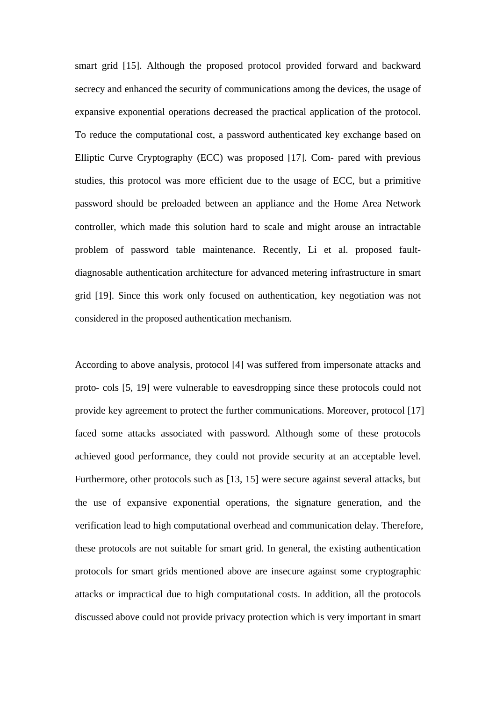smart grid [15]. Although the proposed protocol provided forward and backward secrecy and enhanced the security of communications among the devices, the usage of expansive exponential operations decreased the practical application of the protocol. To reduce the computational cost, a password authenticated key exchange based on Elliptic Curve Cryptography (ECC) was proposed [17]. Com- pared with previous studies, this protocol was more efficient due to the usage of ECC, but a primitive password should be preloaded between an appliance and the Home Area Network controller, which made this solution hard to scale and might arouse an intractable problem of password table maintenance. Recently, Li et al. proposed faultdiagnosable authentication architecture for advanced metering infrastructure in smart grid [19]. Since this work only focused on authentication, key negotiation was not considered in the proposed authentication mechanism.

According to above analysis, protocol [4] was suffered from impersonate attacks and proto- cols [5, 19] were vulnerable to eavesdropping since these protocols could not provide key agreement to protect the further communications. Moreover, protocol [17] faced some attacks associated with password. Although some of these protocols achieved good performance, they could not provide security at an acceptable level. Furthermore, other protocols such as [13, 15] were secure against several attacks, but the use of expansive exponential operations, the signature generation, and the verification lead to high computational overhead and communication delay. Therefore, these protocols are not suitable for smart grid. In general, the existing authentication protocols for smart grids mentioned above are insecure against some cryptographic attacks or impractical due to high computational costs. In addition, all the protocols discussed above could not provide privacy protection which is very important in smart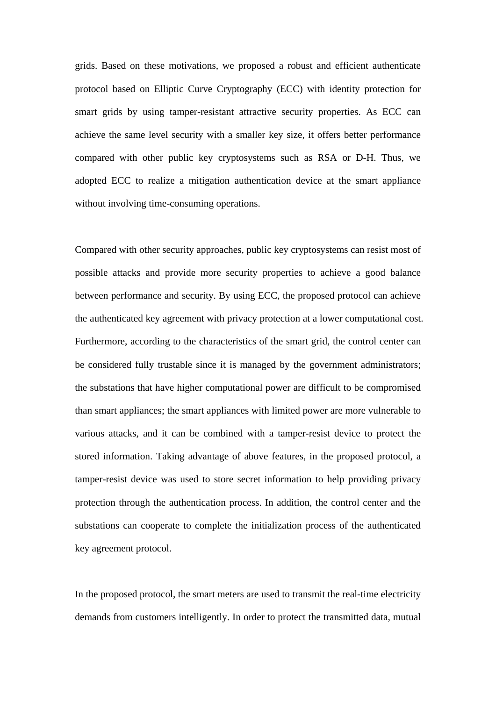grids. Based on these motivations, we proposed a robust and efficient authenticate protocol based on Elliptic Curve Cryptography (ECC) with identity protection for smart grids by using tamper-resistant attractive security properties. As ECC can achieve the same level security with a smaller key size, it offers better performance compared with other public key cryptosystems such as RSA or D-H. Thus, we adopted ECC to realize a mitigation authentication device at the smart appliance without involving time-consuming operations.

Compared with other security approaches, public key cryptosystems can resist most of possible attacks and provide more security properties to achieve a good balance between performance and security. By using ECC, the proposed protocol can achieve the authenticated key agreement with privacy protection at a lower computational cost. Furthermore, according to the characteristics of the smart grid, the control center can be considered fully trustable since it is managed by the government administrators; the substations that have higher computational power are difficult to be compromised than smart appliances; the smart appliances with limited power are more vulnerable to various attacks, and it can be combined with a tamper-resist device to protect the stored information. Taking advantage of above features, in the proposed protocol, a tamper-resist device was used to store secret information to help providing privacy protection through the authentication process. In addition, the control center and the substations can cooperate to complete the initialization process of the authenticated key agreement protocol.

In the proposed protocol, the smart meters are used to transmit the real-time electricity demands from customers intelligently. In order to protect the transmitted data, mutual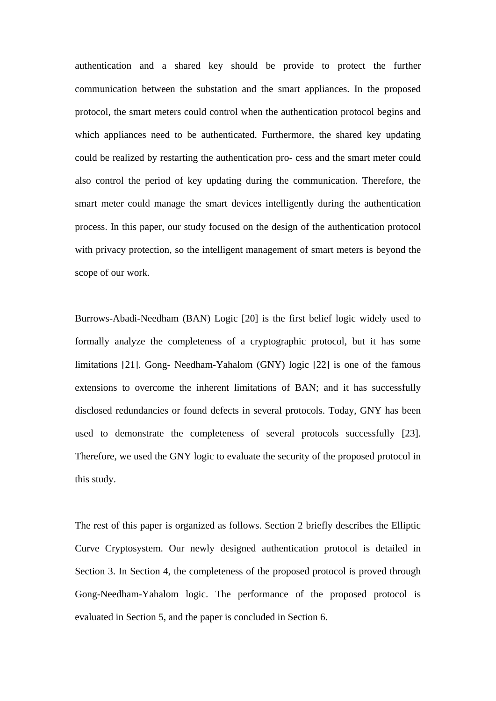authentication and a shared key should be provide to protect the further communication between the substation and the smart appliances. In the proposed protocol, the smart meters could control when the authentication protocol begins and which appliances need to be authenticated. Furthermore, the shared key updating could be realized by restarting the authentication pro- cess and the smart meter could also control the period of key updating during the communication. Therefore, the smart meter could manage the smart devices intelligently during the authentication process. In this paper, our study focused on the design of the authentication protocol with privacy protection, so the intelligent management of smart meters is beyond the scope of our work.

Burrows-Abadi-Needham (BAN) Logic [20] is the first belief logic widely used to formally analyze the completeness of a cryptographic protocol, but it has some limitations [21]. Gong- Needham-Yahalom (GNY) logic [22] is one of the famous extensions to overcome the inherent limitations of BAN; and it has successfully disclosed redundancies or found defects in several protocols. Today, GNY has been used to demonstrate the completeness of several protocols successfully [23]. Therefore, we used the GNY logic to evaluate the security of the proposed protocol in this study.

The rest of this paper is organized as follows. Section 2 briefly describes the Elliptic Curve Cryptosystem. Our newly designed authentication protocol is detailed in Section 3. In Section 4, the completeness of the proposed protocol is proved through Gong-Needham-Yahalom logic. The performance of the proposed protocol is evaluated in Section 5, and the paper is concluded in Section 6.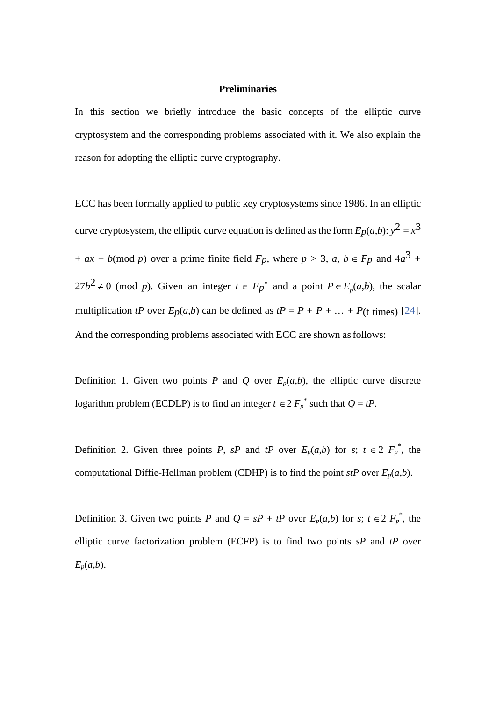#### **Preliminaries**

In this section we briefly introduce the basic concepts of the elliptic curve cryptosystem and the corresponding problems associated with it. We also explain the reason for adopting the elliptic curve cryptography.

ECC has been formally applied to public key cryptosystems since 1986. In an elliptic curve cryptosystem, the elliptic curve equation is defined as the form  $E_p(a,b)$ :  $y^2 = x^3$ +  $ax + b \pmod{p}$  over a prime finite field  $F_p$ , where  $p > 3$ ,  $a, b \in F_p$  and  $4a^3 +$  $27b^2 \neq 0$  (mod *p*). Given an integer  $t \in F_p^*$  and a point  $P \in E_p(a,b)$ , the scalar multiplication *tP* over  $E_p(a,b)$  can be defined as  $tP = P + P + \ldots + P$ (t times) [24]. And the corresponding problems associated with ECC are shown as follows:

Definition 1. Given two points *P* and *Q* over  $E_p(a,b)$ , the elliptic curve discrete logarithm problem (ECDLP) is to find an integer  $t \in 2 F_p^*$  such that  $Q = tP$ .

Definition 2. Given three points *P*, *sP* and *tP* over  $E_p(a,b)$  for *s*;  $t \in 2$   $F_p^*$ , the computational Diffie-Hellman problem (CDHP) is to find the point *stP* over  $E_p(a,b)$ .

Definition 3. Given two points *P* and  $Q = sP + tP$  over  $E_p(a,b)$  for *s*;  $t \in 2 F_p^*$ , the elliptic curve factorization problem (ECFP) is to find two points *sP* and *tP* over *Ep*(*a*,*b*).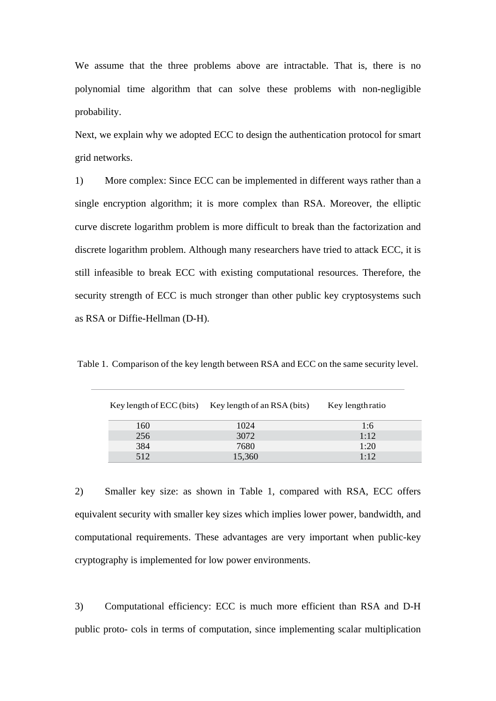We assume that the three problems above are intractable. That is, there is no polynomial time algorithm that can solve these problems with non-negligible probability.

Next, we explain why we adopted ECC to design the authentication protocol for smart grid networks.

1) More complex: Since ECC can be implemented in different ways rather than a single encryption algorithm; it is more complex than RSA. Moreover, the elliptic curve discrete logarithm problem is more difficult to break than the factorization and discrete logarithm problem. Although many researchers have tried to attack ECC, it is still infeasible to break ECC with existing computational resources. Therefore, the security strength of ECC is much stronger than other public key cryptosystems such as RSA or Diffie-Hellman (D-H).

|     | Key length of ECC (bits) Key length of an RSA (bits) | Key lengthratio |
|-----|------------------------------------------------------|-----------------|
| 160 | 1024                                                 | 1:6             |
| 256 | 3072                                                 | 1:12            |
| 384 | 7680                                                 | 1:20            |
| 512 | 15,360                                               | 1.12            |

Table 1. Comparison of the key length between RSA and ECC on the same security level.

2) Smaller key size: as shown in Table 1, compared with RSA, ECC offers equivalent security with smaller key sizes which implies lower power, bandwidth, and computational requirements. These advantages are very important when public-key cryptography is implemented for low power environments.

3) Computational efficiency: ECC is much more efficient than RSA and D-H public proto- cols in terms of computation, since implementing scalar multiplication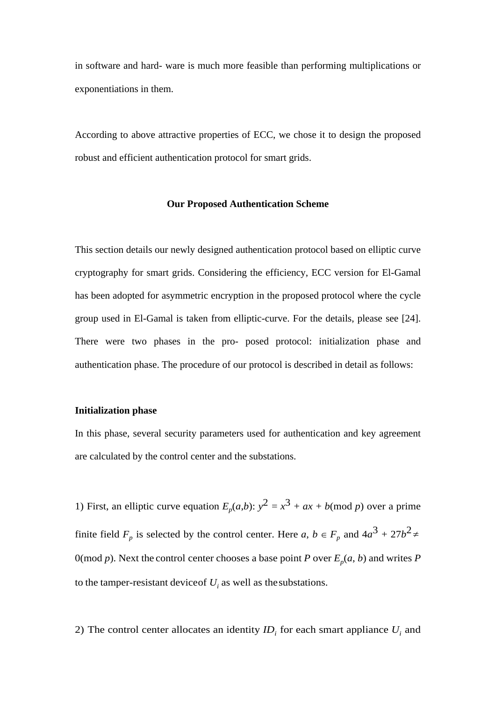in software and hard- ware is much more feasible than performing multiplications or exponentiations in them.

According to above attractive properties of ECC, we chose it to design the proposed robust and efficient authentication protocol for smart grids.

## **Our Proposed Authentication Scheme**

This section details our newly designed authentication protocol based on elliptic curve cryptography for smart grids. Considering the efficiency, ECC version for El-Gamal has been adopted for asymmetric encryption in the proposed protocol where the cycle group used in El-Gamal is taken from elliptic-curve. For the details, please see [24]. There were two phases in the pro- posed protocol: initialization phase and authentication phase. The procedure of our protocol is described in detail as follows:

#### **Initialization phase**

In this phase, several security parameters used for authentication and key agreement are calculated by the control center and the substations.

1) First, an elliptic curve equation  $E_p(a,b)$ :  $y^2 = x^3 + ax + b \pmod{p}$  over a prime finite field  $F_p$  is selected by the control center. Here *a*,  $b \in F_p$  and  $4a^3 + 27b^2 \neq 0$ 0(mod *p*). Next the control center chooses a base point *P* over  $E_p(a, b)$  and writes *P* to the tamper-resistant device of  $U_i$  as well as the substations.

2) The control center allocates an identity  $ID_i$  for each smart appliance  $U_i$  and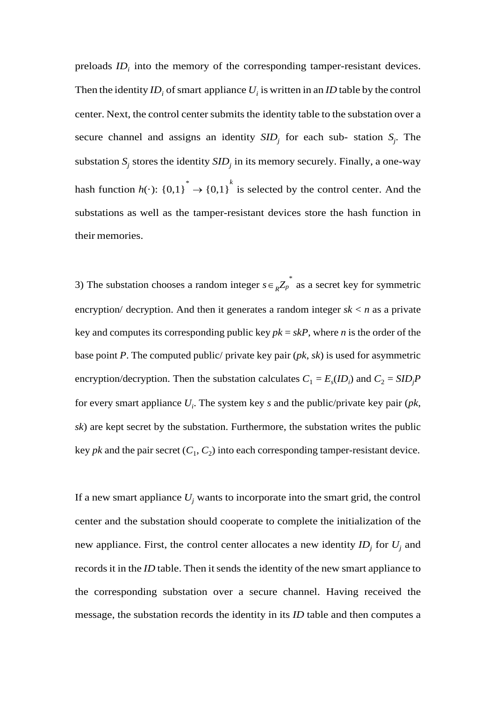preloads  $ID_i$  into the memory of the corresponding tamper-resistant devices. Then the identity  $ID_i$  of smart appliance  $U_i$  is written in an *ID* table by the control center. Next, the control center submits the identity table to the substation over a secure channel and assigns an identity  $SID_j$  for each sub- station  $S_j$ . The substation  $S_i$  stores the identity  $SID_i$  in its memory securely. Finally, a one-way hash function  $h(\cdot)$ :  $\{0,1\}^* \rightarrow \{0,1\}^k$  is selected by the control center. And the substations as well as the tamper-resistant devices store the hash function in their memories.

3) The substation chooses a random integer  $s \in R Z_p^*$  as a secret key for symmetric encryption/ decryption. And then it generates a random integer  $sk < n$  as a private key and computes its corresponding public key  $pk = skP$ , where *n* is the order of the base point *P*. The computed public/ private key pair (*pk*, *sk*) is used for asymmetric encryption/decryption. Then the substation calculates  $C_1 = E_s(ID_i)$  and  $C_2 = SID_jP$ for every smart appliance *Ui* . The system key *s* and the public/private key pair (*pk*, *sk*) are kept secret by the substation. Furthermore, the substation writes the public key *pk* and the pair secret  $(C_1, C_2)$  into each corresponding tamper-resistant device.

If a new smart appliance  $U_j$  wants to incorporate into the smart grid, the control center and the substation should cooperate to complete the initialization of the new appliance. First, the control center allocates a new identity  $ID_i$  for  $U_i$  and records it in the *ID* table. Then it sends the identity of the new smart appliance to the corresponding substation over a secure channel. Having received the message, the substation records the identity in its *ID* table and then computes a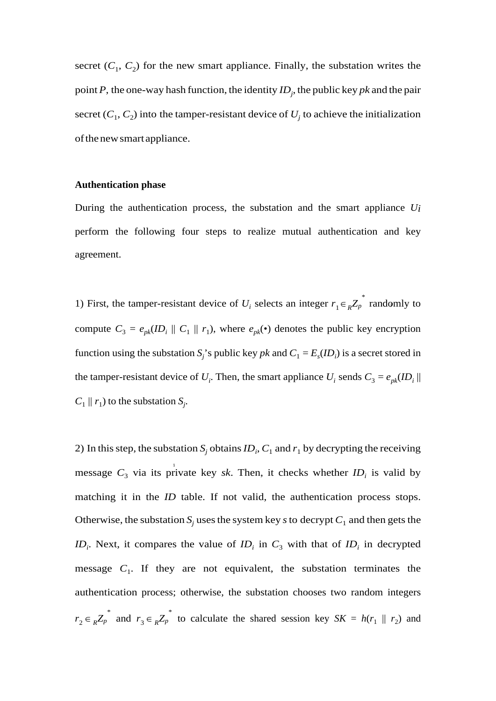secret  $(C_1, C_2)$  for the new smart appliance. Finally, the substation writes the point *P*, the one-way hash function, the identity *IDj* , the public key *pk* and the pair secret  $(C_1, C_2)$  into the tamper-resistant device of  $U_j$  to achieve the initialization of the new smart appliance.

# **Authentication phase**

During the authentication process, the substation and the smart appliance *Ui*  perform the following four steps to realize mutual authentication and key agreement.

1) First, the tamper-resistant device of  $U_i$  selects an integer  $r_1 \in R^{\mathbb{Z}_p}$  randomly to compute  $C_3 = e_{pk} (ID_i || C_1 || r_1)$ , where  $e_{pk} (·)$  denotes the public key encryption function using the substation  $S_j$ 's public key *pk* and  $C_1 = E_s$ (*ID<sub>i</sub>*) is a secret stored in the tamper-resistant device of  $U_i$ . Then, the smart appliance  $U_i$  sends  $C_3 = e_{pk}(ID_i ||)$  $C_1 \parallel r_1$ ) to the substation  $S_j$ .

message  $C_3$  via its private key *sk*. Then, it checks whether  $ID_i$  is valid by 2) In this step, the substation  $S_j$  obtains  $ID_i$ ,  $C_1$  and  $r_1$  by decrypting the receiving matching it in the *ID* table. If not valid, the authentication process stops. Otherwise, the substation  $S_j$  uses the system key *s* to decrypt  $C_1$  and then gets the *ID<sub>i</sub>*. Next, it compares the value of  $ID_i$  in  $C_3$  with that of  $ID_i$  in decrypted message  $C_1$ . If they are not equivalent, the substation terminates the authentication process; otherwise, the substation chooses two random integers  $r_2 \in R Z_p^*$  and  $r_3 \in R Z_p^*$  to calculate the shared session key  $SK = h(r_1 \parallel r_2)$  and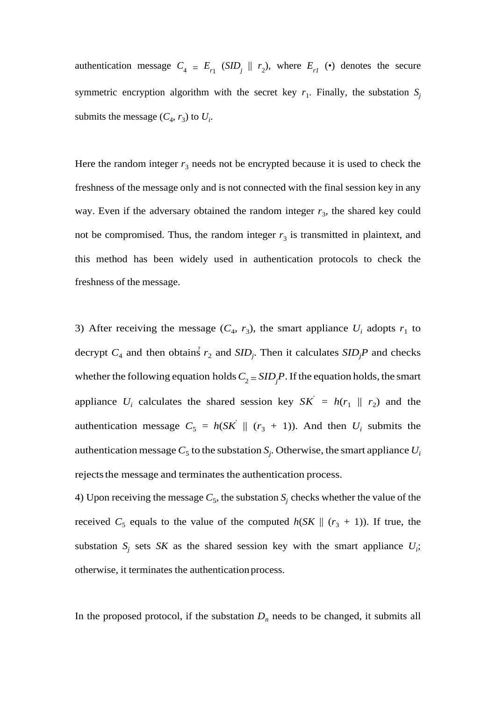authentication message  $C_4 = E_{r_1}$  (*SID<sub>j</sub>*  $|| r_2$ ), where  $E_{r_1}$  (•) denotes the secure symmetric encryption algorithm with the secret key  $r_1$ . Finally, the substation  $S_i$ submits the message  $(C_4, r_3)$  to  $U_i$ .

Here the random integer  $r_3$  needs not be encrypted because it is used to check the freshness of the message only and is not connected with the final session key in any way. Even if the adversary obtained the random integer  $r_3$ , the shared key could not be compromised. Thus, the random integer  $r<sub>3</sub>$  is transmitted in plaintext, and this method has been widely used in authentication protocols to check the freshness of the message.

decrypt  $C_4$  and then obtains  $r_2$  and  $SID_j$ . Then it calculates  $SID_jP$  and checks 3) After receiving the message  $(C_4, r_3)$ , the smart appliance  $U_i$  adopts  $r_1$  to whether the following equation holds  $C_2 = SID_jP$ . If the equation holds, the smart appliance  $U_i$  calculates the shared session key  $SK' = h(r_1 \parallel r_2)$  and the authentication message  $C_5 = h(SK \parallel (r_3 + 1))$ . And then  $U_i$  submits the authentication message  $C_5$  to the substation  $S_j$ . Otherwise, the smart appliance  $U_i$ rejects the message and terminates the authentication process.

4) Upon receiving the message  $C_5$ , the substation  $S_i$  checks whether the value of the received  $C_5$  equals to the value of the computed  $h(SK || (r_3 + 1))$ . If true, the substation  $S_j$  sets *SK* as the shared session key with the smart appliance  $U_i$ ; otherwise, it terminates the authentication process.

In the proposed protocol, if the substation  $D_n$  needs to be changed, it submits all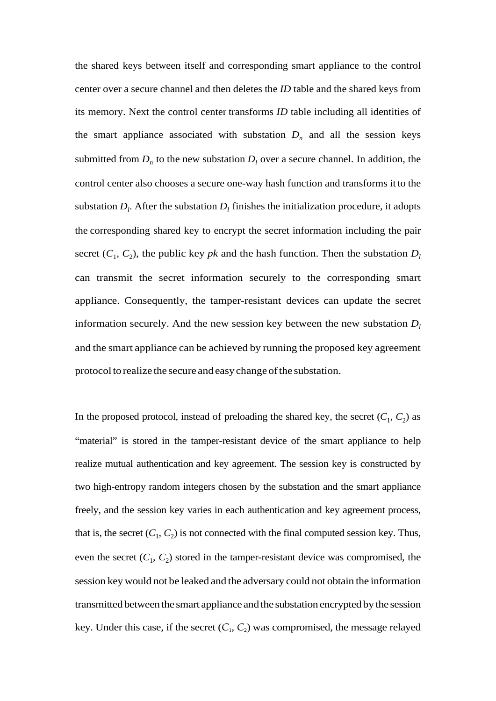the shared keys between itself and corresponding smart appliance to the control center over a secure channel and then deletes the *ID* table and the shared keys from its memory. Next the control center transforms *ID* table including all identities of the smart appliance associated with substation  $D_n$  and all the session keys submitted from  $D_n$  to the new substation  $D_l$  over a secure channel. In addition, the control center also chooses a secure one-way hash function and transforms it to the substation  $D_l$ . After the substation  $D_l$  finishes the initialization procedure, it adopts the corresponding shared key to encrypt the secret information including the pair secret  $(C_1, C_2)$ , the public key *pk* and the hash function. Then the substation  $D_l$ can transmit the secret information securely to the corresponding smart appliance. Consequently, the tamper-resistant devices can update the secret information securely. And the new session key between the new substation  $D_l$ and the smart appliance can be achieved by running the proposed key agreement protocol to realize the secure and easy change of the substation.

In the proposed protocol, instead of preloading the shared key, the secret  $(C_1, C_2)$  as "material" is stored in the tamper-resistant device of the smart appliance to help realize mutual authentication and key agreement. The session key is constructed by two high-entropy random integers chosen by the substation and the smart appliance freely, and the session key varies in each authentication and key agreement process, that is, the secret  $(C_1, C_2)$  is not connected with the final computed session key. Thus, even the secret  $(C_1, C_2)$  stored in the tamper-resistant device was compromised, the session key would not be leaked and the adversary could not obtain the information transmitted between the smart appliance and the substation encrypted by the session key. Under this case, if the secret  $(C_1, C_2)$  was compromised, the message relayed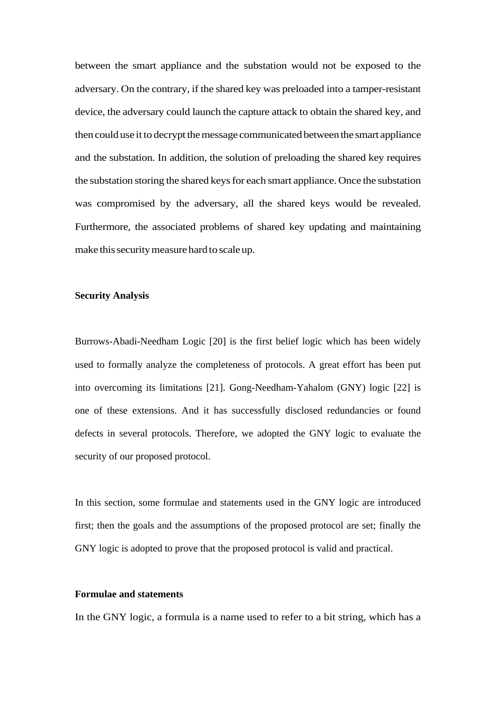between the smart appliance and the substation would not be exposed to the adversary. On the contrary, if the shared key was preloaded into a tamper-resistant device, the adversary could launch the capture attack to obtain the shared key, and then could use it to decrypt the message communicated between the smart appliance and the substation. In addition, the solution of preloading the shared key requires the substation storing the shared keys for each smart appliance. Once the substation was compromised by the adversary, all the shared keys would be revealed. Furthermore, the associated problems of shared key updating and maintaining make this security measure hard to scale up.

# **Security Analysis**

Burrows-Abadi-Needham Logic [20] is the first belief logic which has been widely used to formally analyze the completeness of protocols. A great effort has been put into overcoming its limitations [21]. Gong-Needham-Yahalom (GNY) logic [22] is one of these extensions. And it has successfully disclosed redundancies or found defects in several protocols. Therefore, we adopted the GNY logic to evaluate the security of our proposed protocol.

In this section, some formulae and statements used in the GNY logic are introduced first; then the goals and the assumptions of the proposed protocol are set; finally the GNY logic is adopted to prove that the proposed protocol is valid and practical.

# **Formulae and statements**

In the GNY logic, a formula is a name used to refer to a bit string, which has a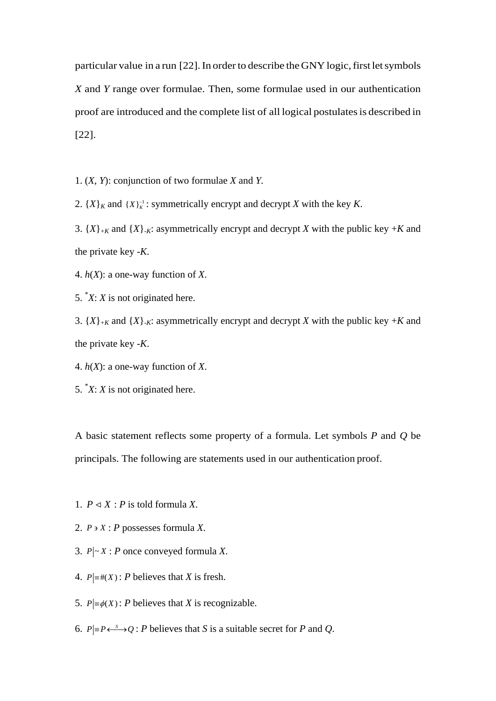particular value in a run [22]. In order to describe the GNY logic, first let symbols *X* and *Y* range over formulae. Then, some formulae used in our authentication proof are introduced and the complete list of all logical postulates is described in [22].

1. (*X*, *Y*): conjunction of two formulae *X* and *Y.*

2.  $\{X\}_K$  and  $\{X\}_K^{-1}$ : symmetrically encrypt and decrypt *X* with the key *K*.

3.  $\{X\}_{+K}$  and  $\{X\}_{-K}$ : asymmetrically encrypt and decrypt *X* with the public key  $+K$  and the private key -*K*.

4. *h*(*X*): a one-way function of *X*.

5. \* *X*: *X* is not originated here.

3.  $\{X\}_{+K}$  and  $\{X\}_{-K}$ : asymmetrically encrypt and decrypt *X* with the public key  $+K$  and the private key -*K*.

4. *h*(*X*): a one-way function of *X*.

5. \* *X*: *X* is not originated here.

A basic statement reflects some property of a formula. Let symbols *P* and *Q* be principals. The following are statements used in our authentication proof.

1.  $P \triangleleft X$ : *P* is told formula *X*.

2.  $P \ni X : P$  possesses formula *X*.

3.  $P \sim X$ : *P* once conveyed formula *X*.

4.  $P \equiv \#(X)$ : *P* believes that *X* is fresh.

5.  $P \equiv \phi(X)$ : *P* believes that *X* is recognizable.

6.  $P \equiv P \longleftrightarrow Q$ : *P* believes that *S* is a suitable secret for *P* and *Q*.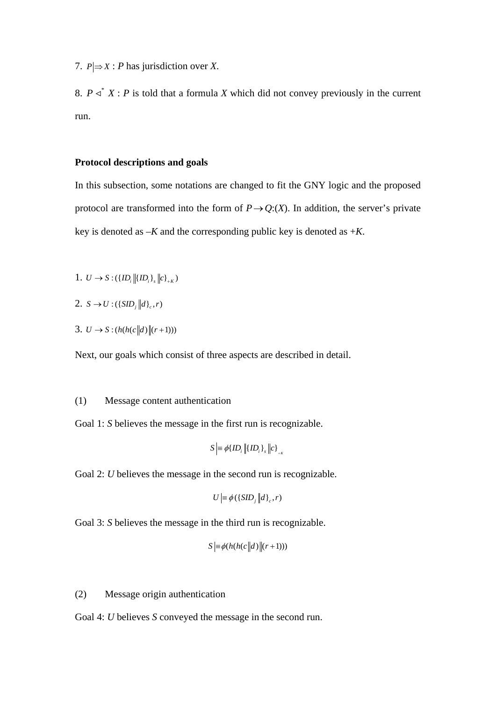7.  $P \rvert \Rightarrow X : P$  has jurisdiction over *X*.

8.  $P \triangleleft X : P$  is told that a formula *X* which did not convey previously in the current run.

# **Protocol descriptions and goals**

In this subsection, some notations are changed to fit the GNY logic and the proposed protocol are transformed into the form of  $P \rightarrow Q$ :(*X*). In addition, the server's private key is denoted as  $-K$  and the corresponding public key is denoted as  $+K$ .

- 1.  $U \rightarrow S : (\{ {ID}_{i} || {ID}_{i} \}_{i} || c \}_{k} )$
- 2.  $S \to U : (\{SID_{i} || d\}_{c}, r)$
- 3.  $U \to S : (h(h(c||d) || (r+1)))$

Next, our goals which consist of three aspects are described in detail.

# (1) Message content authentication

Goal 1: *S* believes the message in the first run is recognizable.

$$
S \equiv \phi\{ID_i \left\| {ID_i} \right\}, \left\| c \right\}_{A}
$$

Goal 2: *U* believes the message in the second run is recognizable.

$$
U = \phi(\{SID_j \, \big| d\}_c, r)
$$

Goal 3: *S* believes the message in the third run is recognizable.

$$
S \big| = \phi(h(h(c||d)||(r+1)))
$$

(2) Message origin authentication

Goal 4: *U* believes *S* conveyed the message in the second run.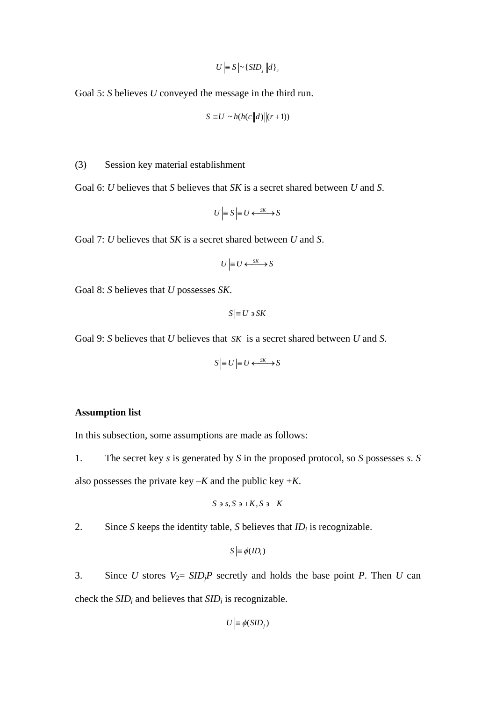$$
U = S \left| \sim \left\{ SID_{i} \right\} \left| d \right\}_{c}
$$

Goal 5: *S* believes *U* conveyed the message in the third run.

$$
S = U \left| \sim h(h(c||d)) \right| (r+1))
$$

## (3) Session key material establishment

Goal 6: *U* believes that *S* believes that *SK* is a secret shared between *U* and *S*.

$$
U \Big| = S \Big| = U \longleftrightarrow^{SK} S
$$

Goal 7: *U* believes that *SK* is a secret shared between *U* and *S*.

$$
U \equiv U \leftarrow \xrightarrow{SK} S
$$

Goal 8: *S* believes that *U* possesses *SK*.

 $S \equiv U \ni SK$ 

Goal 9: *S* believes that *U* believes that *SK* is a secret shared between *U* and *S*.

$$
S \equiv U \equiv U \longleftrightarrow^{SK} S
$$

## **Assumption list**

In this subsection, some assumptions are made as follows:

1. The secret key *s* is generated by *S* in the proposed protocol, so *S* possesses *s*. *S* also possesses the private key  $-K$  and the public key  $+K$ .

$$
S \ni s, S \ni +K, S \ni -K
$$

2. Since *S* keeps the identity table, *S* believes that  $ID_i$  is recognizable.

$$
S \geq \phi(ID_i)
$$

3. Since *U* stores  $V_2 = SID_iP$  secretly and holds the base point *P*. Then *U* can check the *SIDj* and believes that *SIDj* is recognizable.

$$
U\Big|\equiv \phi(SID_j)
$$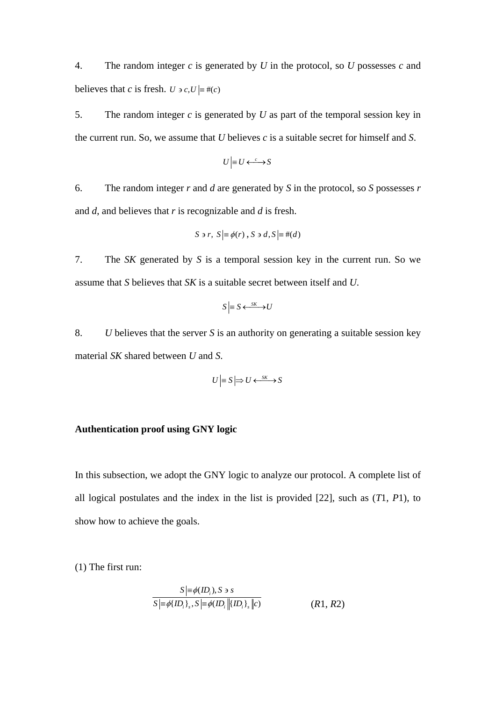4. The random integer *c* is generated by *U* in the protocol, so *U* possesses *c* and believes that *c* is fresh. *U*  $\rightarrow$  *c*, *U*  $\equiv$  #(*c*)

5. The random integer *c* is generated by *U* as part of the temporal session key in the current run. So, we assume that *U* believes *c* is a suitable secret for himself and *S*.

$$
U \Big| = U \longleftrightarrow S
$$

6. The random integer *r* and *d* are generated by *S* in the protocol, so *S* possesses *r*  and *d*, and believes that *r* is recognizable and *d* is fresh.

$$
S \ni r, S \models \phi(r), S \ni d, S \models \#(d)
$$

7. The *SK* generated by *S* is a temporal session key in the current run. So we assume that *S* believes that *SK* is a suitable secret between itself and *U*.

$$
S \models S \longleftrightarrow^{SK} U
$$

8. *U* believes that the server *S* is an authority on generating a suitable session key material *SK* shared between *U* and *S*.

$$
U \models S \middle| \Rightarrow U \leftarrow \xrightarrow{SK} S
$$

# **Authentication proof using GNY logic**

In this subsection, we adopt the GNY logic to analyze our protocol. A complete list of all logical postulates and the index in the list is provided [22], such as (*T*1, *P*1), to show how to achieve the goals.

(1) The first run:

$$
S = \phi(ID_i), S \ni s
$$
  

$$
S = \phi(ID_i], S = \phi(ID_i || \{ID_i\}_s || c)
$$
 (R1, R2)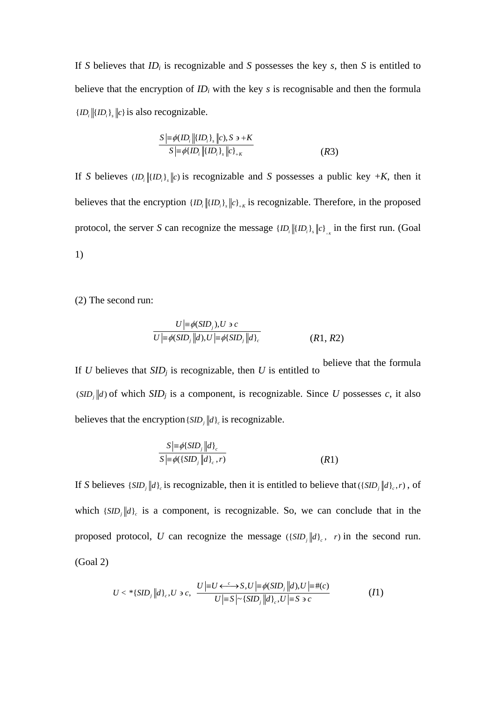If *S* believes that *IDi* is recognizable and *S* possesses the key *s*, then *S* is entitled to believe that the encryption of  $ID_i$  with the key  $s$  is recognisable and then the formula  ${ID_i$   ${IID_i}$ ,  ${c}$  is also recognizable.

$$
S \geq \phi(ID_i \| \{ ID_i \}_s \| c), S \ni + K
$$
  
\n
$$
S \geq \phi \{ ID_i \| \{ ID_i \}_s \| c \}_{+K}
$$
  
\n(R3)

If *S* believes  $\langle ID, \|(ID_i)\|_c$  is recognizable and *S* possesses a public key  $+K$ , then it believes that the encryption  ${ID_i \| {ID_i}_s \| c}_{t,k}$  is recognizable. Therefore, in the proposed protocol, the server *S* can recognize the message  ${ID_i|[ID_i]_s||c]}_r$  in the first run. (Goal 1)

(2) The second run:

$$
U \mid \equiv \phi(SID_j), U \ni c
$$
  

$$
U \mid \equiv \phi(SID_j \mid d), U \mid \equiv \phi(SID_j \mid d)_c
$$
  
(R1, R2)

If *U* believes that  $SID_j$  is recognizable, then *U* is entitled to believe that the formula  $(SID_j || d)$  of which  $SID_j$  is a component, is recognizable. Since *U* possesses *c*, it also believes that the encryption  $\{ SID_i || d \}$  is recognizable.

$$
\frac{S|\equiv\phi\{SID_j\|d\}_{c}}{S|\equiv\phi(\{SID_j\|d\}_{c},r)}
$$
\n(R1)

If *S* believes { $SID_i || d$ }<sub>c</sub> is recognizable, then it is entitled to believe that ({ $SID_i || d$ }<sub>c</sub>, *r*), of which  $\{SID_j || d\}_c$  is a component, is recognizable. So, we can conclude that in the proposed protocol, *U* can recognize the message  $(\{SID_j | d\}_c, r)$  in the second run. (Goal 2)

$$
U < \, ^{\ast} \{SID_j \, \left\| d \right\}_c, U \ni c, \quad \frac{U \left| \equiv U \leftarrow ^{\mathcal{C}} S, U \left| \equiv \phi(SID_j \, \left\| d \right), U \right| \equiv \#(c)}{U \left| \equiv S \right| \sim \{SID_j \, \left\| d \right\}_c, U \left| \equiv S \ni c \right.} \tag{I1}
$$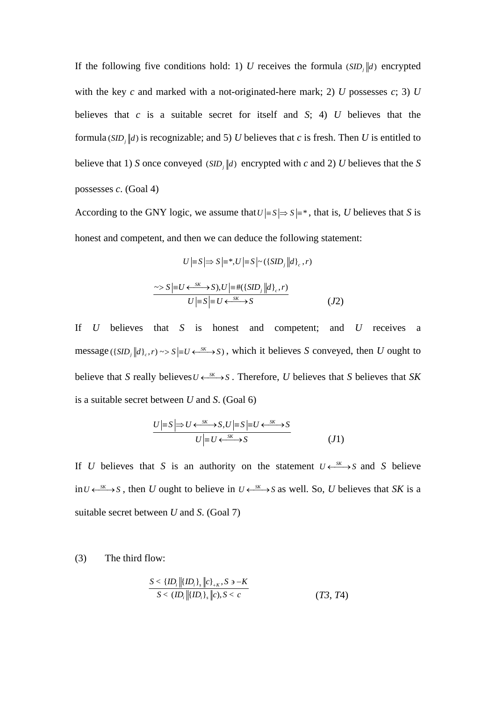If the following five conditions hold: 1) *U* receives the formula  $(SID_i||d)$  encrypted with the key *c* and marked with a not-originated-here mark; 2) *U* possesses *c*; 3) *U* believes that *c* is a suitable secret for itself and *S*; 4) *U* believes that the formula ( $SID$ , |d) is recognizable; and 5) *U* believes that *c* is fresh. Then *U* is entitled to believe that 1) *S* once conveyed (*SID*,  $\|d$ ) encrypted with *c* and 2) *U* believes that the *S* possesses *c*. (Goal 4)

According to the GNY logic, we assume that  $U \neq S \Rightarrow S \neq^*$ , that is, *U* believes that *S* is honest and competent, and then we can deduce the following statement:

$$
U \leq S \Rightarrow S \geq^*, U \leq S \sim (\{SID_j || d\}, r)
$$
  
\n
$$
\sim S \geq U \leftarrow \{SK \rightarrow S\}, U \geq \#(\{SID_j || d\}, r)
$$
  
\n
$$
U \geq S \geq U \leftarrow \{SK \rightarrow S\}
$$
  
\n
$$
(J2)
$$

If *U* believes that *S* is honest and competent; and *U* receives a message ({ $SID_j || d$ },  $r$ ) ~>  $S = U \leftarrow S^K$  >  $S$ ), which it believes *S* conveyed, then *U* ought to believe that *S* really believes  $U \leftarrow \frac{SK}{S}$ . Therefore, *U* believes that *S* believes that *SK* is a suitable secret between *U* and *S*. (Goal 6)

$$
\frac{U| = S | \Rightarrow U \longleftrightarrow^{SK} S, U | = S | = U \longleftrightarrow^{SK} S}{U | = U \longleftrightarrow^{SK} S} \tag{J1}
$$

If *U* believes that *S* is an authority on the statement  $U \leftarrow S K \rightarrow S$  and *S* believe in  $U \leftarrow S(K)$ , then *U* ought to believe in  $U \leftarrow S(K)$  as well. So, *U* believes that *SK* is a suitable secret between *U* and *S*. (Goal 7)

(3) The third flow:

$$
\frac{S < \{ID_i\} \left\| \{ID_i\}_s \right\| c \}_{k,K}, S \ni -K
$$
\n
$$
S < \{ID_i \left\| \{ID_i\}_s \right\| c \}, S < c
$$
\n
$$
(T3, T4)
$$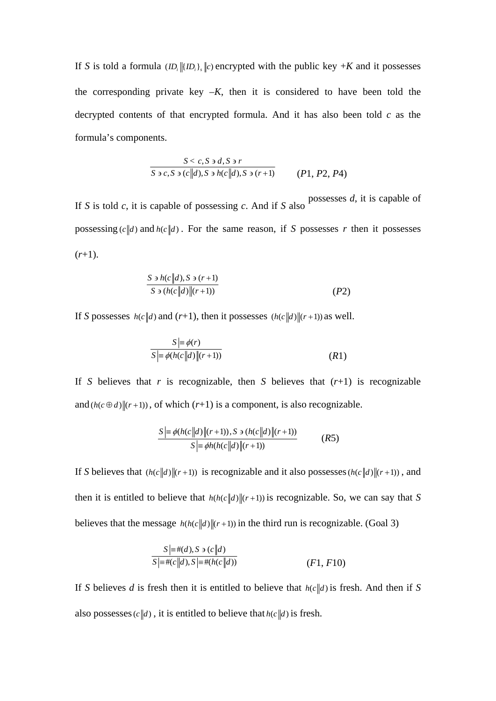If *S* is told a formula  $\langle ID_i | \langle ID_i \rangle$ ,  $\langle C \rangle$  encrypted with the public key  $+K$  and it possesses the corresponding private key  $-K$ , then it is considered to have been told the decrypted contents of that encrypted formula. And it has also been told *c* as the formula's components.

$$
\frac{S < c, S \ni d, S \ni r}{S \ni c, S \ni (c||d), S \ni h(c||d), S \ni (r+1)} \qquad (P1, P2, P4)
$$

If *S* is told *c*, it is capable of possessing *c*. And if *S* also possesses *d*, it is capable of possessing  $(c||d)$  and  $h(c||d)$ . For the same reason, if *S* possesses *r* then it possesses  $(r+1)$ .

$$
\frac{S \ni h(c||d), S \ni (r+1)}{S \ni (h(c||d)||(r+1))}
$$
\n
$$
(P2)
$$

If *S* possesses  $h(c||d)$  and  $(r+1)$ , then it possesses  $(h(c||d)||(r+1))$  as well.

$$
S \equiv \phi(r)
$$
  

$$
S \equiv \phi(h(c||d)||(r+1))
$$
 (R1)

If *S* believes that *r* is recognizable, then *S* believes that  $(r+1)$  is recognizable and  $(h(c \oplus d) \| (r+1))$ , of which  $(r+1)$  is a component, is also recognizable.

$$
S \geq \phi(h(c||d)||(r+1)), S \ni (h(c||d)||(r+1))
$$
  

$$
S \geq \phi(h(h(c||d)||(r+1))
$$
 (R5)

If *S* believes that  $(h(c||d)||(r+1))$  is recognizable and it also possesses  $(h(c||d)||(r+1))$ , and then it is entitled to believe that  $h(h(c||d)||(r+1))$  is recognizable. So, we can say that *S* believes that the message  $h(h(c||d)||(r+1))$  in the third run is recognizable. (Goal 3)

$$
S \equiv \#(d), S \ni (c||d)
$$
  
\n
$$
S \equiv \#(c||d), S \equiv \#(h(c||d))
$$
  
\n(F1, F10)

If *S* believes *d* is fresh then it is entitled to believe that  $h(c||d)$  is fresh. And then if *S* also possesses  $(c||d)$ , it is entitled to believe that  $h(c||d)$  is fresh.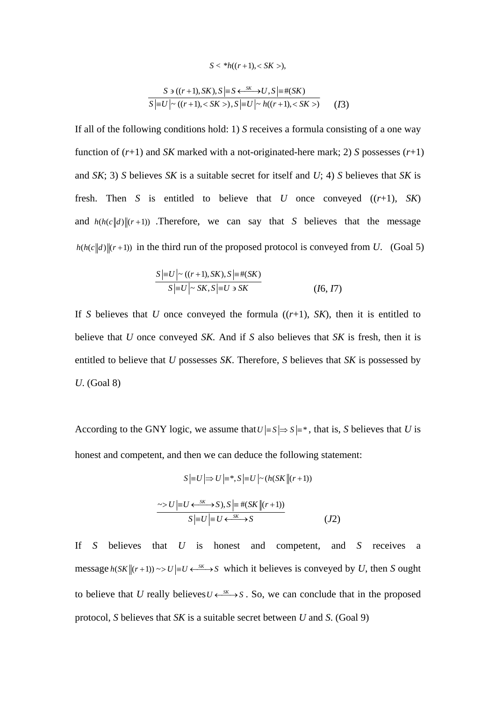$$
S < *h((r+1), < SK >,
$$

$$
S \ni ((r+1), SK), S \mid \equiv S \leftarrow^{SK} \rightarrow U, S \mid \equiv \#(SK)
$$
  

$$
S \mid \equiv U \mid \sim ((r+1), < SK >), S \mid \equiv U \mid \sim h((r+1), < SK >)
$$
 (I3)

If all of the following conditions hold: 1) *S* receives a formula consisting of a one way function of  $(r+1)$  and *SK* marked with a not-originated-here mark; 2) *S* possesses  $(r+1)$ and *SK*; 3) *S* believes *SK* is a suitable secret for itself and *U*; 4) *S* believes that *SK* is fresh. Then *S* is entitled to believe that *U* once conveyed ((*r*+1), *SK*) and  $h(h(c||d)||(r+1))$  .Therefore, we can say that *S* believes that the message  $h(h(c||d)||(r+1))$  in the third run of the proposed protocol is conveyed from *U*. (Goal 5)

$$
S\left|\equiv U\right|\sim ((r+1), SK), S\left|\equiv\#(SK)\right>
$$
  

$$
S\left|\equiv U\right|\sim SK, S\left|\equiv U\right\rangle \ge SK
$$
 (16, 17)

If *S* believes that *U* once conveyed the formula  $((r+1), SK)$ , then it is entitled to believe that *U* once conveyed *SK.* And if *S* also believes that *SK* is fresh, then it is entitled to believe that *U* possesses *SK*. Therefore, *S* believes that *SK* is possessed by *U*. (Goal 8)

According to the GNY logic, we assume that  $U \neq S \Rightarrow S \neq^*$ , that is, *S* believes that *U* is honest and competent, and then we can deduce the following statement:

$$
S \equiv U \Longrightarrow U \equiv *, S \equiv U \sim (h(SK \parallel (r+1))
$$

$$
\sim > U \equiv U \leftarrow \frac{sK}{S}, S, S \equiv \# (SK \parallel (r+1))
$$

$$
S \equiv U \equiv U \leftarrow \frac{sK}{S} \gg S \tag{J2}
$$

If *S* believes that *U* is honest and competent, and *S* receives a message  $h(SK||(r+1)) \sim U = U \leftarrow S(K)$  which it believes is conveyed by *U*, then *S* ought to believe that *U* really believes  $U \leftarrow S K \rightarrow S$ . So, we can conclude that in the proposed protocol, *S* believes that *SK* is a suitable secret between *U* and *S*. (Goal 9)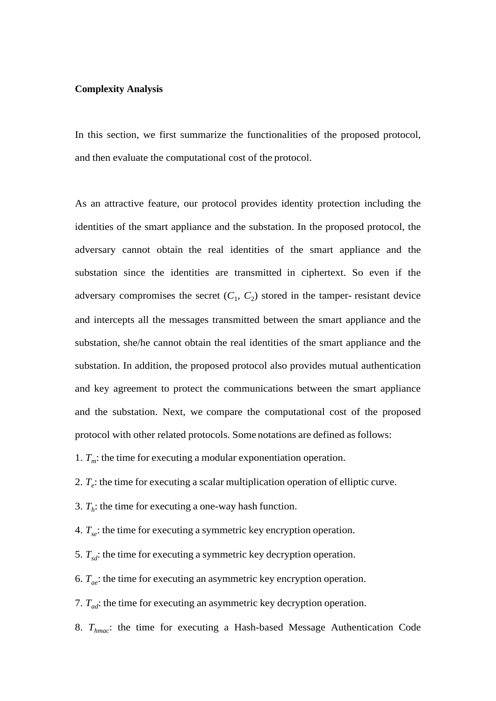## **Complexity Analysis**

In this section, we first summarize the functionalities of the proposed protocol, and then evaluate the computational cost of the protocol.

As an attractive feature, our protocol provides identity protection including the identities of the smart appliance and the substation. In the proposed protocol, the adversary cannot obtain the real identities of the smart appliance and the substation since the identities are transmitted in ciphertext. So even if the adversary compromises the secret  $(C_1, C_2)$  stored in the tamper- resistant device and intercepts all the messages transmitted between the smart appliance and the substation, she/he cannot obtain the real identities of the smart appliance and the substation. In addition, the proposed protocol also provides mutual authentication and key agreement to protect the communications between the smart appliance and the substation. Next, we compare the computational cost of the proposed protocol with other related protocols. Some notations are defined as follows:

1.  $T_m$ : the time for executing a modular exponentiation operation.

2.  $T_e$ : the time for executing a scalar multiplication operation of elliptic curve.

3.  $T_h$ : the time for executing a one-way hash function.

4. *Tse*: the time for executing a symmetric key encryption operation.

5.  $T_{sd}$ : the time for executing a symmetric key decryption operation.

6. *Tae*: the time for executing an asymmetric key encryption operation.

7. *Tad*: the time for executing an asymmetric key decryption operation.

8. *Thmac*: the time for executing a Hash-based Message Authentication Code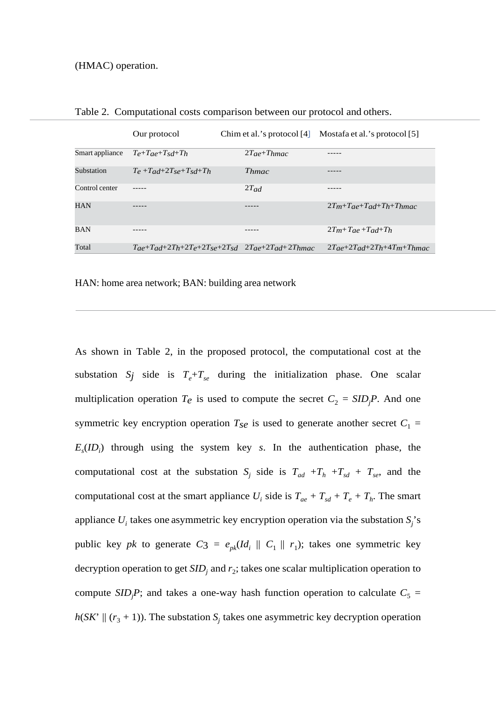|                 | Our protocol                            | Chim et al.'s protocol $[4]$                                            | Mostafa et al.'s protocol [5]         |
|-----------------|-----------------------------------------|-------------------------------------------------------------------------|---------------------------------------|
| Smart appliance | $T_e+T_{ae}+T_{sd}+T_h$                 | $2T_{ae} + T_{hmac}$                                                    |                                       |
| Substation      | $T_e + T_{ad} + 2T_{se} + T_{sd} + T_h$ | Thmac                                                                   |                                       |
| Control center  |                                         | $2T_{ad}$                                                               |                                       |
| <b>HAN</b>      |                                         |                                                                         | $2Tm+Tae+Ta+Th+Th$                    |
| <b>BAN</b>      |                                         |                                                                         | $2T_m+T_{ae}+T_{ad}+T_h$              |
| Total           |                                         | $T_{ae}+T_{ad}+2T_h+2T_{e}+2T_{se}+2T_{sd}$ $2T_{ae}+2T_{ad}+2T_{hmac}$ | $2T_{a}e+2T_{ad}+2T_{h}+4T_{m}+T_{h}$ |

Table 2. Computational costs comparison between our protocol and others.

HAN: home area network; BAN: building area network

As shown in Table 2, in the proposed protocol, the computational cost at the substation  $S_j$  side is  $T_e + T_{se}$  during the initialization phase. One scalar multiplication operation  $T_e$  is used to compute the secret  $C_2 = SID_jP$ . And one symmetric key encryption operation  $T_{\text{S}e}$  is used to generate another secret  $C_1$  =  $E_s$ (*ID<sub>i</sub>*) through using the system key *s*. In the authentication phase, the computational cost at the substation  $S_j$  side is  $T_{ad} + T_h + T_{sd} + T_{se}$ , and the computational cost at the smart appliance  $U_i$  side is  $T_{ae} + T_{sd} + T_e + T_h$ . The smart appliance  $U_i$  takes one asymmetric key encryption operation via the substation  $S_j$ 's public key *pk* to generate  $C_3 = e_{pk}(Id_i \parallel C_1 \parallel r_1)$ ; takes one symmetric key decryption operation to get  $SID<sub>j</sub>$  and  $r<sub>2</sub>$ ; takes one scalar multiplication operation to compute *SID<sub>j</sub>P*; and takes a one-way hash function operation to calculate  $C_5$  =  $h(SK' \parallel (r_3 + 1))$ . The substation  $S_i$  takes one asymmetric key decryption operation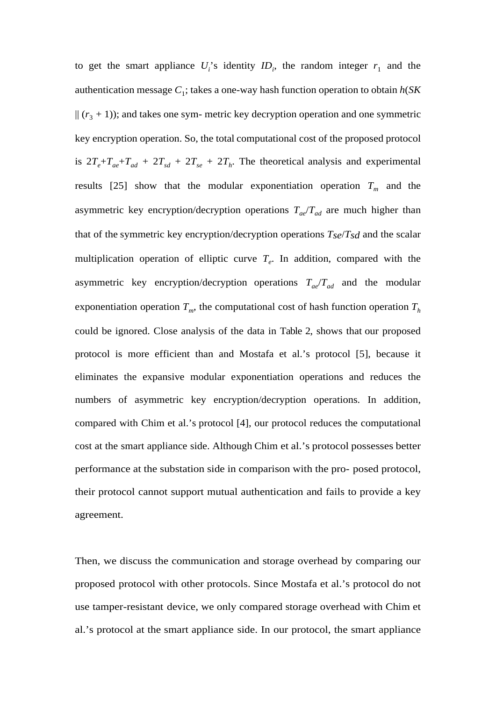to get the smart appliance  $U_i$ 's identity  $ID_i$ , the random integer  $r_1$  and the authentication message  $C_1$ ; takes a one-way hash function operation to obtain  $h(SK)$  $|| (r<sub>3</sub> + 1))$ ; and takes one sym- metric key decryption operation and one symmetric key encryption operation. So, the total computational cost of the proposed protocol is  $2T_e+T_{ae}+T_{ad} + 2T_{sd} + 2T_{se} + 2T_h$ . The theoretical analysis and experimental results [25] show that the modular exponentiation operation  $T_m$  and the asymmetric key encryption/decryption operations  $T_{ae}/T_{ad}$  are much higher than that of the symmetric key encryption/decryption operations *Tse*/*Tsd* and the scalar multiplication operation of elliptic curve  $T<sub>e</sub>$ . In addition, compared with the asymmetric key encryption/decryption operations *Tae*/*Tad* and the modular exponentiation operation  $T_m$ , the computational cost of hash function operation  $T_h$ could be ignored. Close analysis of the data in Table 2, shows that our proposed protocol is more efficient than and Mostafa et al.'s protocol [5], because it eliminates the expansive modular exponentiation operations and reduces the numbers of asymmetric key encryption/decryption operations. In addition, compared with Chim et al.'s protocol [4], our protocol reduces the computational cost at the smart appliance side. Although Chim et al.'s protocol possesses better performance at the substation side in comparison with the pro- posed protocol, their protocol cannot support mutual authentication and fails to provide a key agreement.

Then, we discuss the communication and storage overhead by comparing our proposed protocol with other protocols. Since Mostafa et al.'s protocol do not use tamper-resistant device, we only compared storage overhead with Chim et al.'s protocol at the smart appliance side. In our protocol, the smart appliance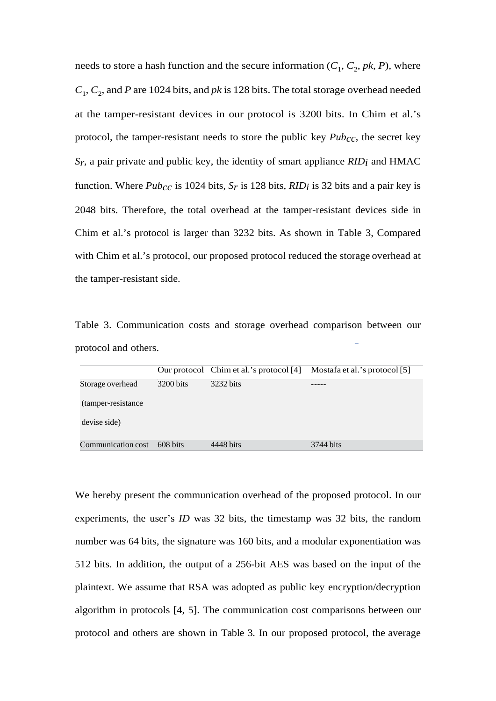needs to store a hash function and the secure information  $(C_1, C_2, pk, P)$ , where  $C_1, C_2$ , and *P* are 1024 bits, and *pk* is 128 bits. The total storage overhead needed at the tamper-resistant devices in our protocol is 3200 bits. In Chim et al.'s protocol, the tamper-resistant needs to store the public key *Pubcc*, the secret key *Sr*, a pair private and public key, the identity of smart appliance *RIDi* and HMAC function. Where *Pubcc* is 1024 bits, *Sr* is 128 bits, *RIDi* is 32 bits and a pair key is 2048 bits. Therefore, the total overhead at the tamper-resistant devices side in Chim et al.'s protocol is larger than 3232 bits. As shown in Table 3, Compared with Chim et al.'s protocol, our proposed protocol reduced the storage overhead at the tamper-resistant side.

Table 3. Communication costs and storage overhead comparison between our protocol and others.

|                     |           | Our protocol Chim et al.'s protocol [4] | Mostafa et al.'s protocol [5] |
|---------------------|-----------|-----------------------------------------|-------------------------------|
| Storage overhead    | 3200 bits | 3232 bits                               |                               |
| (tamper-resistance) |           |                                         |                               |
| devise side)        |           |                                         |                               |
| Communication cost  | 608 bits  | 4448 bits                               | 3744 bits                     |

We hereby present the communication overhead of the proposed protocol. In our experiments, the user's *ID* was 32 bits, the timestamp was 32 bits, the random number was 64 bits, the signature was 160 bits, and a modular exponentiation was 512 bits. In addition, the output of a 256-bit AES was based on the input of the plaintext. We assume that RSA was adopted as public key encryption/decryption algorithm in protocols [4, 5]. The communication cost comparisons between our protocol and others are shown in Table 3. In our proposed protocol, the average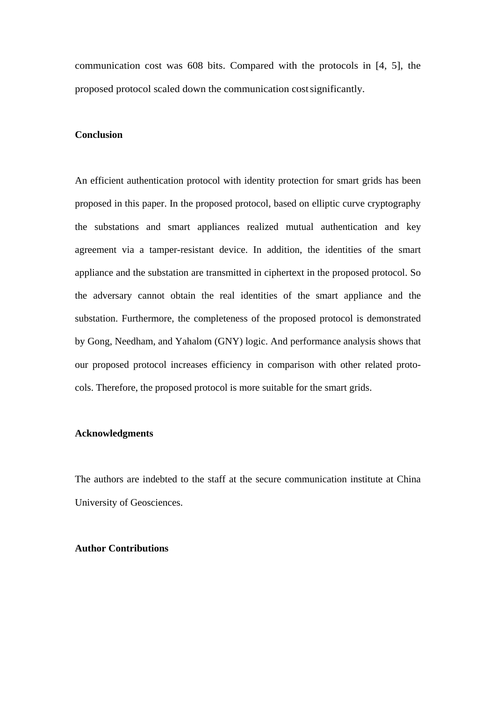communication cost was 608 bits. Compared with the protocols in [4, 5], the proposed protocol scaled down the communication cost significantly.

# **Conclusion**

An efficient authentication protocol with identity protection for smart grids has been proposed in this paper. In the proposed protocol, based on elliptic curve cryptography the substations and smart appliances realized mutual authentication and key agreement via a tamper-resistant device. In addition, the identities of the smart appliance and the substation are transmitted in ciphertext in the proposed protocol. So the adversary cannot obtain the real identities of the smart appliance and the substation. Furthermore, the completeness of the proposed protocol is demonstrated by Gong, Needham, and Yahalom (GNY) logic. And performance analysis shows that our proposed protocol increases efficiency in comparison with other related protocols. Therefore, the proposed protocol is more suitable for the smart grids.

# **Acknowledgments**

The authors are indebted to the staff at the secure communication institute at China University of Geosciences.

## **Author Contributions**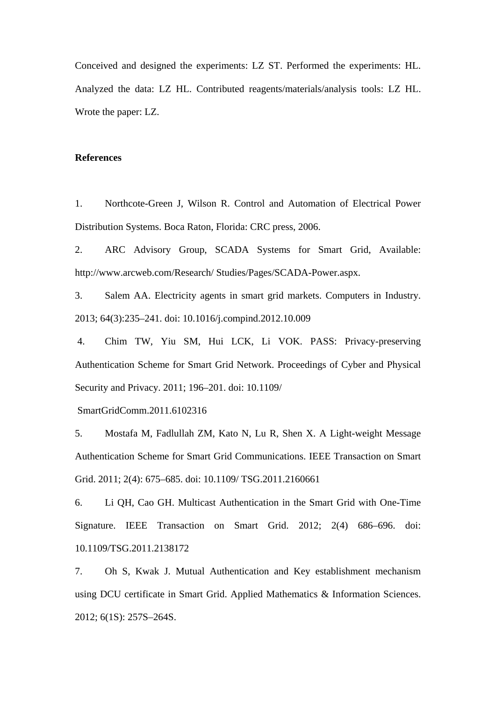Conceived and designed the experiments: LZ ST. Performed the experiments: HL. Analyzed the data: LZ HL. Contributed reagents/materials/analysis tools: LZ HL. Wrote the paper: LZ.

## **References**

1. Northcote-Green J, Wilson R. Control and Automation of Electrical Power Distribution Systems. Boca Raton, Florida: CRC press, 2006.

2. ARC Advisory Group, SCADA Systems for Smart Grid, Available: http://www.arcweb.com/Research/ Studies/Pages/SCADA-Power.aspx.

3. Salem AA. Electricity agents in smart grid markets. Computers in Industry. 2013; 64(3):235–241. doi: 10.1016/j.compind.2012.10.009

 4. Chim TW, Yiu SM, Hui LCK, Li VOK. PASS: Privacy-preserving Authentication Scheme for Smart Grid Network. Proceedings of Cyber and Physical Security and Privacy. 2011; 196–201. doi: 10.1109/

SmartGridComm.2011.6102316

5. Mostafa M, Fadlullah ZM, Kato N, Lu R, Shen X. A Light-weight Message Authentication Scheme for Smart Grid Communications. IEEE Transaction on Smart Grid. 2011; 2(4): 675–685. doi: 10.1109/ TSG.2011.2160661

6. Li QH, Cao GH. Multicast Authentication in the Smart Grid with One-Time Signature. IEEE Transaction on Smart Grid. 2012; 2(4) 686–696. doi: 10.1109/TSG.2011.2138172

7. Oh S, Kwak J. Mutual Authentication and Key establishment mechanism using DCU certificate in Smart Grid. Applied Mathematics & Information Sciences. 2012; 6(1S): 257S–264S.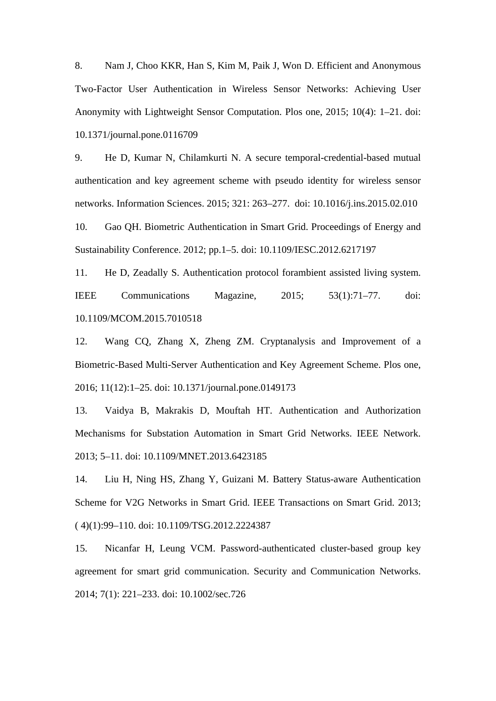8. Nam J, Choo KKR, Han S, Kim M, Paik J, Won D. Efficient and Anonymous Two-Factor User Authentication in Wireless Sensor Networks: Achieving User Anonymity with Lightweight Sensor Computation. Plos one, 2015; 10(4): 1–21. doi: 10.1371/journal.pone.0116709

9. He D, Kumar N, Chilamkurti N. A secure temporal-credential-based mutual authentication and key agreement scheme with pseudo identity for wireless sensor networks. Information Sciences. 2015; 321: 263–277. doi: 10.1016/j.ins.2015.02.010

10. Gao QH. Biometric Authentication in Smart Grid. Proceedings of Energy and Sustainability Conference. 2012; pp.1–5. doi: 10.1109/IESC.2012.6217197

11. He D, Zeadally S. Authentication protocol forambient assisted living system. IEEE Communications Magazine, 2015; 53(1):71–77. doi: 10.1109/MCOM.2015.7010518

12. Wang CQ, Zhang X, Zheng ZM. Cryptanalysis and Improvement of a Biometric-Based Multi-Server Authentication and Key Agreement Scheme. Plos one, 2016; 11(12):1–25. doi: 10.1371/journal.pone.0149173

13. Vaidya B, Makrakis D, Mouftah HT. Authentication and Authorization Mechanisms for Substation Automation in Smart Grid Networks. IEEE Network. 2013; 5–11. doi: 10.1109/MNET.2013.6423185

14. Liu H, Ning HS, Zhang Y, Guizani M. Battery Status-aware Authentication Scheme for V2G Networks in Smart Grid. IEEE Transactions on Smart Grid. 2013; ( 4)(1):99–110. doi: 10.1109/TSG.2012.2224387

15. Nicanfar H, Leung VCM. Password-authenticated cluster-based group key agreement for smart grid communication. Security and Communication Networks. 2014; 7(1): 221–233. doi: 10.1002/sec.726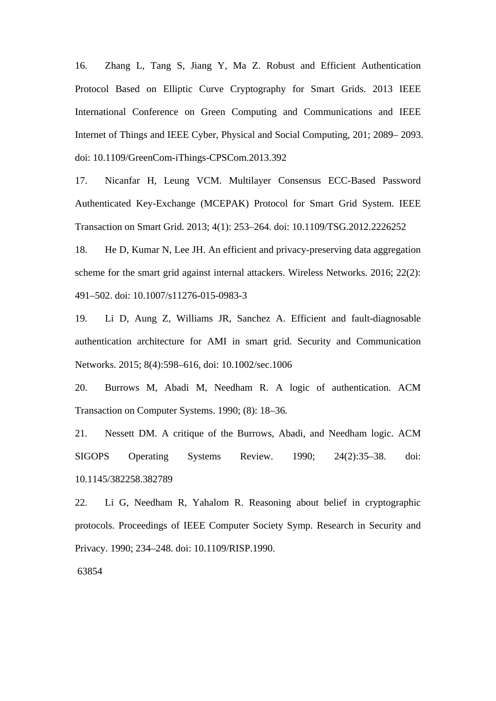16. Zhang L, Tang S, Jiang Y, Ma Z. Robust and Efficient Authentication Protocol Based on Elliptic Curve Cryptography for Smart Grids. 2013 IEEE International Conference on Green Computing and Communications and IEEE Internet of Things and IEEE Cyber, Physical and Social Computing, 201; 2089– 2093. doi: 10.1109/GreenCom-iThings-CPSCom.2013.392

17. Nicanfar H, Leung VCM. Multilayer Consensus ECC-Based Password Authenticated Key-Exchange (MCEPAK) Protocol for Smart Grid System. IEEE Transaction on Smart Grid. 2013; 4(1): 253–264. doi: 10.1109/TSG.2012.2226252

18. He D, Kumar N, Lee JH. An efficient and privacy-preserving data aggregation scheme for the smart grid against internal attackers. Wireless Networks. 2016; 22(2): 491–502. doi: 10.1007/s11276-015-0983-3

19. Li D, Aung Z, Williams JR, Sanchez A. Efficient and fault-diagnosable authentication architecture for AMI in smart grid. Security and Communication Networks. 2015; 8(4):598–616, doi: 10.1002/sec.1006

20. Burrows M, Abadi M, Needham R. A logic of authentication. ACM Transaction on Computer Systems. 1990; (8): 18–36.

21. Nessett DM. A critique of the Burrows, Abadi, and Needham logic. ACM SIGOPS Operating Systems Review. 1990; 24(2):35–38. doi: 10.1145/382258.382789

22. Li G, Needham R, Yahalom R. Reasoning about belief in cryptographic protocols. Proceedings of IEEE Computer Society Symp. Research in Security and Privacy. 1990; 234–248. doi: 10.1109/RISP.1990.

63854